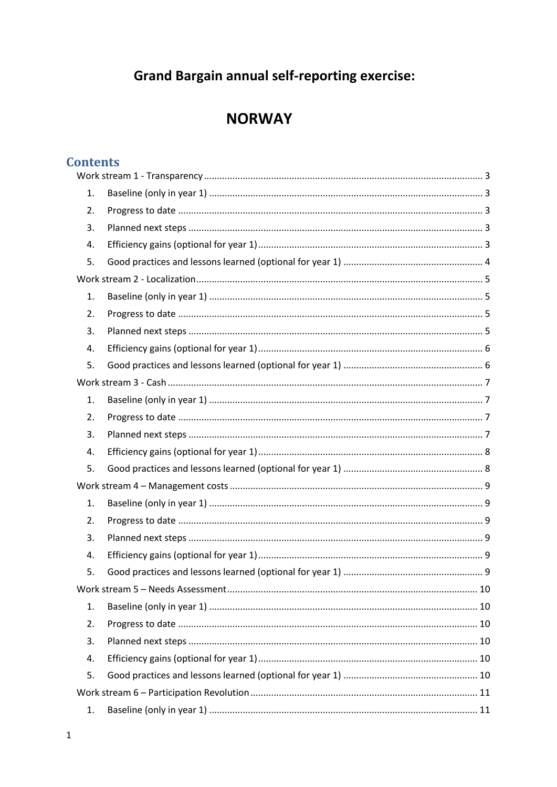# **Grand Bargain annual self-reporting exercise:**

## **NORWAY**

## **Contents**

| 1. |  |  |  |
|----|--|--|--|
| 2. |  |  |  |
| 3. |  |  |  |
| 4. |  |  |  |
| 5. |  |  |  |
|    |  |  |  |
| 1. |  |  |  |
| 2. |  |  |  |
| 3. |  |  |  |
| 4. |  |  |  |
| 5. |  |  |  |
|    |  |  |  |
| 1. |  |  |  |
| 2. |  |  |  |
| 3. |  |  |  |
| 4. |  |  |  |
| 5. |  |  |  |
|    |  |  |  |
| 1. |  |  |  |
| 2. |  |  |  |
| 3. |  |  |  |
| 4. |  |  |  |
| 5. |  |  |  |
|    |  |  |  |
| 1. |  |  |  |
| 2. |  |  |  |
| 3. |  |  |  |
| 4. |  |  |  |
| 5. |  |  |  |
|    |  |  |  |
| 1. |  |  |  |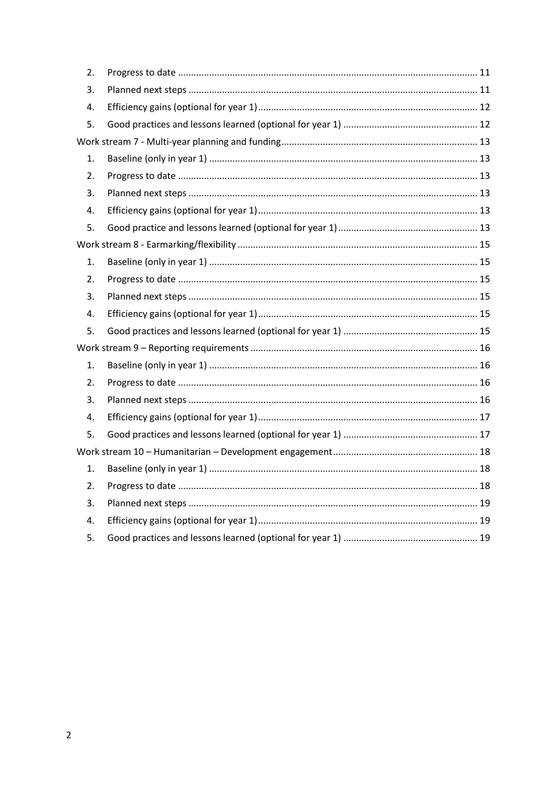| 2.               |  |  |
|------------------|--|--|
| 3.               |  |  |
| 4.               |  |  |
| 5.               |  |  |
|                  |  |  |
| 1.               |  |  |
| $\overline{2}$ . |  |  |
| 3.               |  |  |
| 4.               |  |  |
| 5.               |  |  |
|                  |  |  |
| 1.               |  |  |
| 2.               |  |  |
| 3.               |  |  |
| 4.               |  |  |
| 5.               |  |  |
|                  |  |  |
| 1.               |  |  |
| 2.               |  |  |
| 3.               |  |  |
| 4.               |  |  |
| 5.               |  |  |
|                  |  |  |
| 1.               |  |  |
| 2.               |  |  |
| 3.               |  |  |
| 4.               |  |  |
| 5.               |  |  |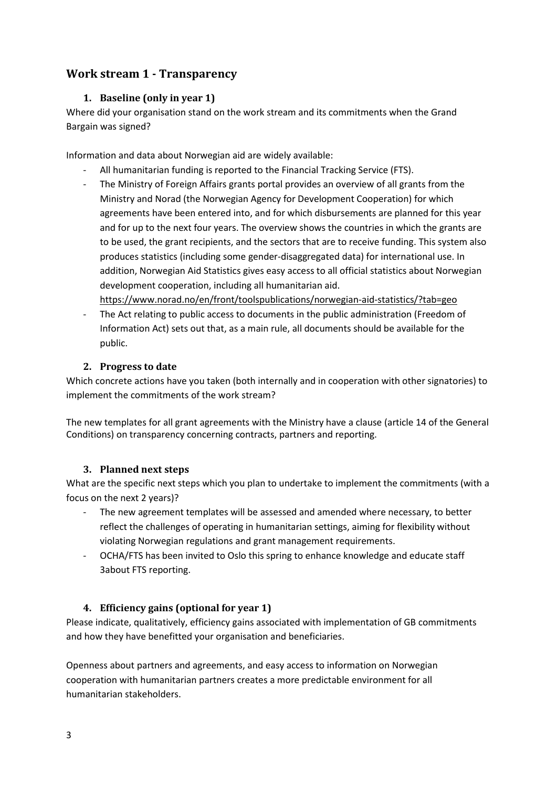## <span id="page-2-1"></span><span id="page-2-0"></span>**Work stream 1 - Transparency**

#### **1. Baseline (only in year 1)**

Where did your organisation stand on the work stream and its commitments when the Grand Bargain was signed?

Information and data about Norwegian aid are widely available:

- All humanitarian funding is reported to the Financial Tracking Service (FTS).
- The Ministry of Foreign Affairs grants portal provides an overview of all grants from the Ministry and Norad (the Norwegian Agency for Development Cooperation) for which agreements have been entered into, and for which disbursements are planned for this year and for up to the next four years. The overview shows the countries in which the grants are to be used, the grant recipients, and the sectors that are to receive funding. This system also produces statistics (including some gender-disaggregated data) for international use. In addition, Norwegian Aid Statistics gives easy access to all official statistics about Norwegian development cooperation, including all humanitarian aid.

<https://www.norad.no/en/front/toolspublications/norwegian-aid-statistics/?tab=geo>

The Act relating to public access to documents in the public administration (Freedom of Information Act) sets out that, as a main rule, all documents should be available for the public.

#### <span id="page-2-2"></span>**2. Progress to date**

Which concrete actions have you taken (both internally and in cooperation with other signatories) to implement the commitments of the work stream?

The new templates for all grant agreements with the Ministry have a clause (article 14 of the General Conditions) on transparency concerning contracts, partners and reporting.

#### <span id="page-2-3"></span>**3. Planned next steps**

What are the specific next steps which you plan to undertake to implement the commitments (with a focus on the next 2 years)?

- The new agreement templates will be assessed and amended where necessary, to better reflect the challenges of operating in humanitarian settings, aiming for flexibility without violating Norwegian regulations and grant management requirements.
- OCHA/FTS has been invited to Oslo this spring to enhance knowledge and educate staff 3about FTS reporting.

#### <span id="page-2-4"></span>**4. Efficiency gains (optional for year 1)**

Please indicate, qualitatively, efficiency gains associated with implementation of GB commitments and how they have benefitted your organisation and beneficiaries.

Openness about partners and agreements, and easy access to information on Norwegian cooperation with humanitarian partners creates a more predictable environment for all humanitarian stakeholders.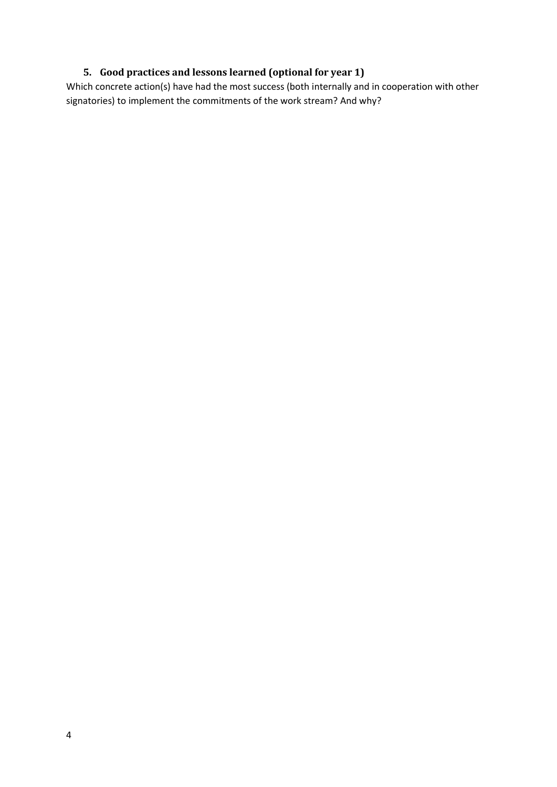### <span id="page-3-0"></span>**5. Good practices and lessons learned (optional for year 1)**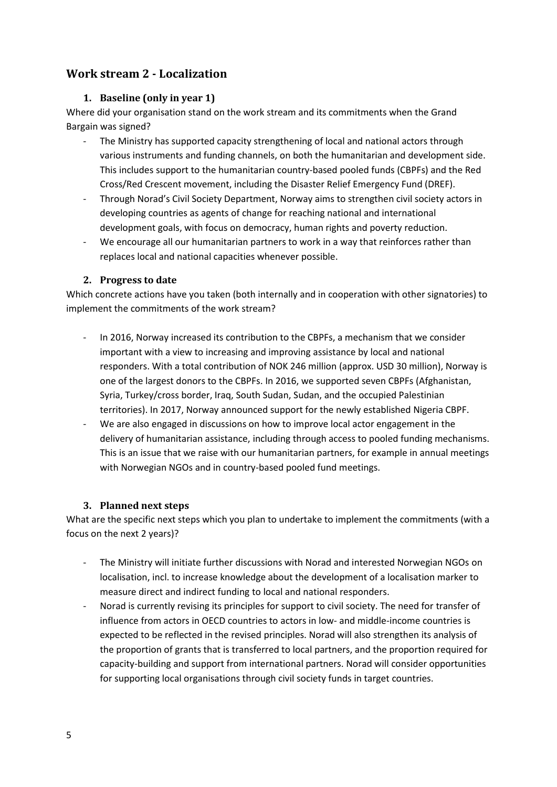## <span id="page-4-1"></span><span id="page-4-0"></span>**Work stream 2 - Localization**

#### **1. Baseline (only in year 1)**

Where did your organisation stand on the work stream and its commitments when the Grand Bargain was signed?

- The Ministry has supported capacity strengthening of local and national actors through various instruments and funding channels, on both the humanitarian and development side. This includes support to the humanitarian country-based pooled funds (CBPFs) and the Red Cross/Red Crescent movement, including the Disaster Relief Emergency Fund (DREF).
- Through Norad's Civil Society Department, Norway aims to strengthen civil society actors in developing countries as agents of change for reaching national and international development goals, with focus on democracy, human rights and poverty reduction.
- We encourage all our humanitarian partners to work in a way that reinforces rather than replaces local and national capacities whenever possible.

#### <span id="page-4-2"></span>**2. Progress to date**

Which concrete actions have you taken (both internally and in cooperation with other signatories) to implement the commitments of the work stream?

- In 2016, Norway increased its contribution to the CBPFs, a mechanism that we consider important with a view to increasing and improving assistance by local and national responders. With a total contribution of NOK 246 million (approx. USD 30 million), Norway is one of the largest donors to the CBPFs. In 2016, we supported seven CBPFs (Afghanistan, Syria, Turkey/cross border, Iraq, South Sudan, Sudan, and the occupied Palestinian territories). In 2017, Norway announced support for the newly established Nigeria CBPF.
- We are also engaged in discussions on how to improve local actor engagement in the delivery of humanitarian assistance, including through access to pooled funding mechanisms. This is an issue that we raise with our humanitarian partners, for example in annual meetings with Norwegian NGOs and in country-based pooled fund meetings.

#### <span id="page-4-3"></span>**3. Planned next steps**

What are the specific next steps which you plan to undertake to implement the commitments (with a focus on the next 2 years)?

- The Ministry will initiate further discussions with Norad and interested Norwegian NGOs on localisation, incl. to increase knowledge about the development of a localisation marker to measure direct and indirect funding to local and national responders.
- Norad is currently revising its principles for support to civil society. The need for transfer of influence from actors in OECD countries to actors in low- and middle-income countries is expected to be reflected in the revised principles. Norad will also strengthen its analysis of the proportion of grants that is transferred to local partners, and the proportion required for capacity-building and support from international partners. Norad will consider opportunities for supporting local organisations through civil society funds in target countries.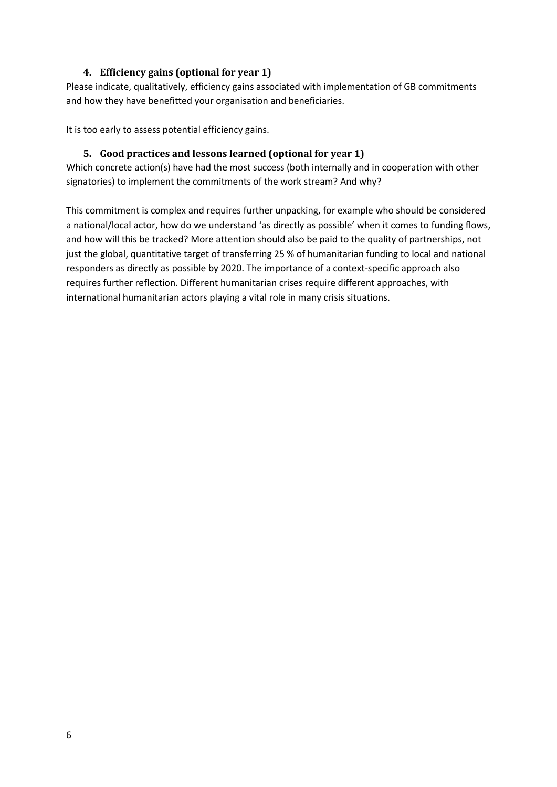#### **4. Efficiency gains (optional for year 1)**

<span id="page-5-0"></span>Please indicate, qualitatively, efficiency gains associated with implementation of GB commitments and how they have benefitted your organisation and beneficiaries.

<span id="page-5-1"></span>It is too early to assess potential efficiency gains.

#### **5. Good practices and lessons learned (optional for year 1)**

Which concrete action(s) have had the most success (both internally and in cooperation with other signatories) to implement the commitments of the work stream? And why?

This commitment is complex and requires further unpacking, for example who should be considered a national/local actor, how do we understand 'as directly as possible' when it comes to funding flows, and how will this be tracked? More attention should also be paid to the quality of partnerships, not just the global, quantitative target of transferring 25 % of humanitarian funding to local and national responders as directly as possible by 2020. The importance of a context-specific approach also requires further reflection. Different humanitarian crises require different approaches, with international humanitarian actors playing a vital role in many crisis situations.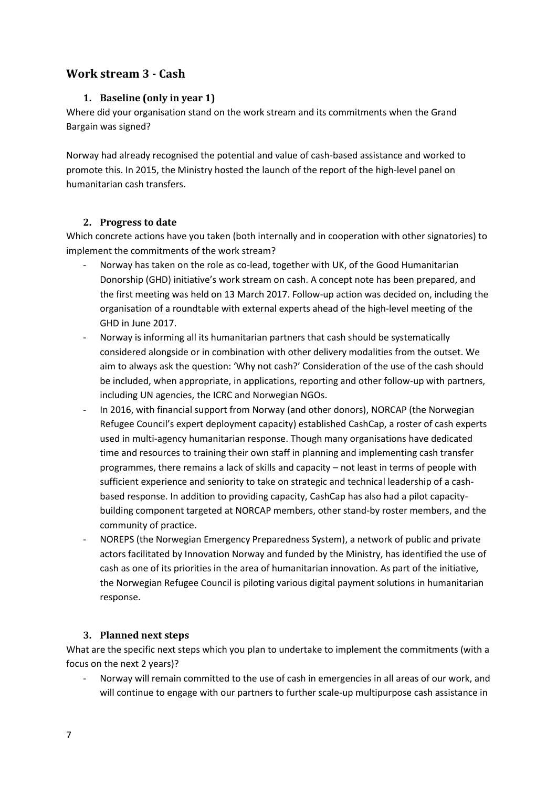## <span id="page-6-1"></span><span id="page-6-0"></span>**Work stream 3 - Cash**

#### **1. Baseline (only in year 1)**

Where did your organisation stand on the work stream and its commitments when the Grand Bargain was signed?

Norway had already recognised the potential and value of cash-based assistance and worked to promote this. In 2015, the Ministry hosted the launch of the report of the high-level panel on humanitarian cash transfers.

#### <span id="page-6-2"></span>**2. Progress to date**

Which concrete actions have you taken (both internally and in cooperation with other signatories) to implement the commitments of the work stream?

- Norway has taken on the role as co-lead, together with UK, of the Good Humanitarian Donorship (GHD) initiative's work stream on cash. A concept note has been prepared, and the first meeting was held on 13 March 2017. Follow-up action was decided on, including the organisation of a roundtable with external experts ahead of the high-level meeting of the GHD in June 2017.
- Norway is informing all its humanitarian partners that cash should be systematically considered alongside or in combination with other delivery modalities from the outset. We aim to always ask the question: 'Why not cash?' Consideration of the use of the cash should be included, when appropriate, in applications, reporting and other follow-up with partners, including UN agencies, the ICRC and Norwegian NGOs.
- In 2016, with financial support from Norway (and other donors), NORCAP (the Norwegian Refugee Council's expert deployment capacity) established CashCap, a roster of cash experts used in multi-agency humanitarian response. Though many organisations have dedicated time and resources to training their own staff in planning and implementing cash transfer programmes, there remains a lack of skills and capacity – not least in terms of people with sufficient experience and seniority to take on strategic and technical leadership of a cashbased response. In addition to providing capacity, CashCap has also had a pilot capacitybuilding component targeted at NORCAP members, other stand-by roster members, and the community of practice.
- NOREPS (the Norwegian Emergency Preparedness System), a network of public and private actors facilitated by Innovation Norway and funded by the Ministry, has identified the use of cash as one of its priorities in the area of humanitarian innovation. As part of the initiative, the Norwegian Refugee Council is piloting various digital payment solutions in humanitarian response.

#### <span id="page-6-3"></span>**3. Planned next steps**

What are the specific next steps which you plan to undertake to implement the commitments (with a focus on the next 2 years)?

- Norway will remain committed to the use of cash in emergencies in all areas of our work, and will continue to engage with our partners to further scale-up multipurpose cash assistance in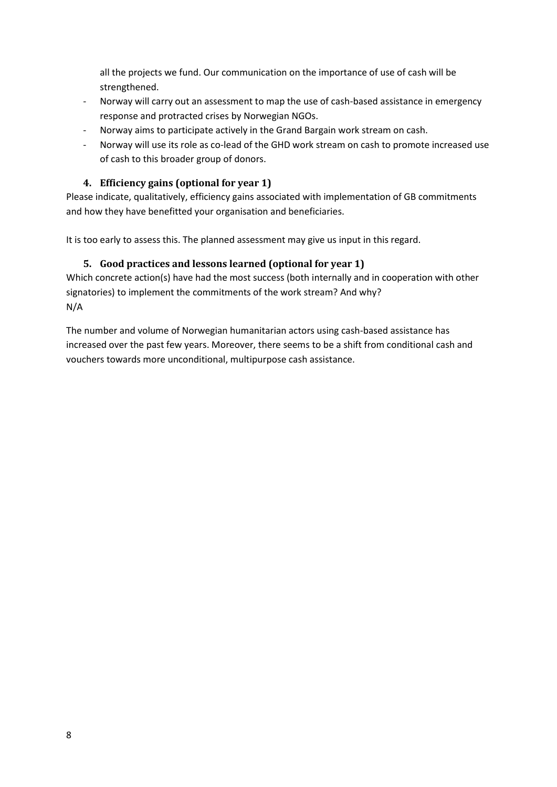all the projects we fund. Our communication on the importance of use of cash will be strengthened.

- Norway will carry out an assessment to map the use of cash-based assistance in emergency response and protracted crises by Norwegian NGOs.
- Norway aims to participate actively in the Grand Bargain work stream on cash.
- Norway will use its role as co-lead of the GHD work stream on cash to promote increased use of cash to this broader group of donors.

#### <span id="page-7-0"></span>**4. Efficiency gains (optional for year 1)**

Please indicate, qualitatively, efficiency gains associated with implementation of GB commitments and how they have benefitted your organisation and beneficiaries.

<span id="page-7-1"></span>It is too early to assess this. The planned assessment may give us input in this regard.

#### **5. Good practices and lessons learned (optional for year 1)**

Which concrete action(s) have had the most success (both internally and in cooperation with other signatories) to implement the commitments of the work stream? And why? N/A

The number and volume of Norwegian humanitarian actors using cash-based assistance has increased over the past few years. Moreover, there seems to be a shift from conditional cash and vouchers towards more unconditional, multipurpose cash assistance.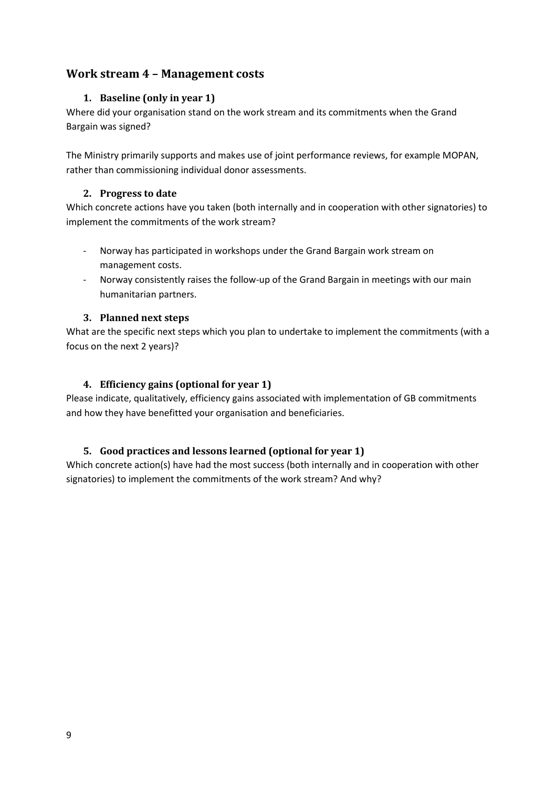## <span id="page-8-1"></span><span id="page-8-0"></span>**Work stream 4 – Management costs**

#### **1. Baseline (only in year 1)**

Where did your organisation stand on the work stream and its commitments when the Grand Bargain was signed?

The Ministry primarily supports and makes use of joint performance reviews, for example MOPAN, rather than commissioning individual donor assessments.

#### <span id="page-8-2"></span>**2. Progress to date**

Which concrete actions have you taken (both internally and in cooperation with other signatories) to implement the commitments of the work stream?

- Norway has participated in workshops under the Grand Bargain work stream on management costs.
- Norway consistently raises the follow-up of the Grand Bargain in meetings with our main humanitarian partners.

#### <span id="page-8-3"></span>**3. Planned next steps**

What are the specific next steps which you plan to undertake to implement the commitments (with a focus on the next 2 years)?

#### <span id="page-8-4"></span>**4. Efficiency gains (optional for year 1)**

Please indicate, qualitatively, efficiency gains associated with implementation of GB commitments and how they have benefitted your organisation and beneficiaries.

#### <span id="page-8-5"></span>**5. Good practices and lessons learned (optional for year 1)**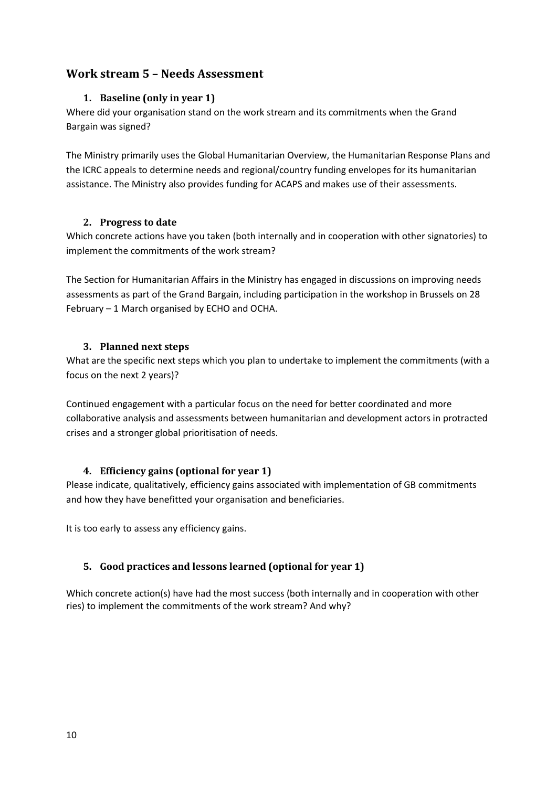## <span id="page-9-1"></span><span id="page-9-0"></span>**Work stream 5 – Needs Assessment**

#### **1. Baseline (only in year 1)**

Where did your organisation stand on the work stream and its commitments when the Grand Bargain was signed?

The Ministry primarily uses the Global Humanitarian Overview, the Humanitarian Response Plans and the ICRC appeals to determine needs and regional/country funding envelopes for its humanitarian assistance. The Ministry also provides funding for ACAPS and makes use of their assessments.

#### <span id="page-9-2"></span>**2. Progress to date**

Which concrete actions have you taken (both internally and in cooperation with other signatories) to implement the commitments of the work stream?

The Section for Humanitarian Affairs in the Ministry has engaged in discussions on improving needs assessments as part of the Grand Bargain, including participation in the workshop in Brussels on 28 February – 1 March organised by ECHO and OCHA.

#### <span id="page-9-3"></span>**3. Planned next steps**

What are the specific next steps which you plan to undertake to implement the commitments (with a focus on the next 2 years)?

Continued engagement with a particular focus on the need for better coordinated and more collaborative analysis and assessments between humanitarian and development actors in protracted crises and a stronger global prioritisation of needs.

#### <span id="page-9-4"></span>**4. Efficiency gains (optional for year 1)**

Please indicate, qualitatively, efficiency gains associated with implementation of GB commitments and how they have benefitted your organisation and beneficiaries.

It is too early to assess any efficiency gains.

#### <span id="page-9-5"></span>**5. Good practices and lessons learned (optional for year 1)**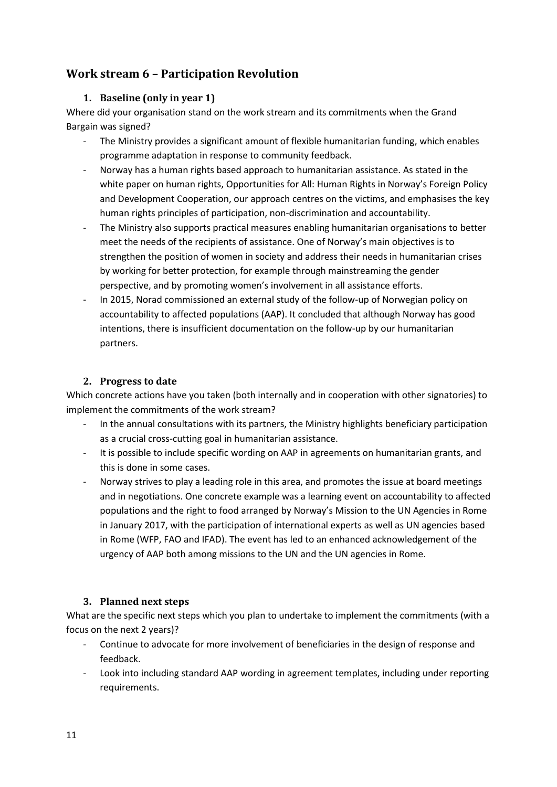## <span id="page-10-1"></span><span id="page-10-0"></span>**Work stream 6 – Participation Revolution**

#### **1. Baseline (only in year 1)**

Where did your organisation stand on the work stream and its commitments when the Grand Bargain was signed?

- The Ministry provides a significant amount of flexible humanitarian funding, which enables programme adaptation in response to community feedback.
- Norway has a human rights based approach to humanitarian assistance. As stated in the white paper on human rights, Opportunities for All: Human Rights in Norway's Foreign Policy and Development Cooperation, our approach centres on the victims, and emphasises the key human rights principles of participation, non-discrimination and accountability.
- The Ministry also supports practical measures enabling humanitarian organisations to better meet the needs of the recipients of assistance. One of Norway's main objectives is to strengthen the position of women in society and address their needs in humanitarian crises by working for better protection, for example through mainstreaming the gender perspective, and by promoting women's involvement in all assistance efforts.
- In 2015, Norad commissioned an external study of the follow-up of Norwegian policy on accountability to affected populations (AAP). It concluded that although Norway has good intentions, there is insufficient documentation on the follow-up by our humanitarian partners.

#### **2. Progress to date**

<span id="page-10-2"></span>Which concrete actions have you taken (both internally and in cooperation with other signatories) to implement the commitments of the work stream?

- In the annual consultations with its partners, the Ministry highlights beneficiary participation as a crucial cross-cutting goal in humanitarian assistance.
- It is possible to include specific wording on AAP in agreements on humanitarian grants, and this is done in some cases.
- Norway strives to play a leading role in this area, and promotes the issue at board meetings and in negotiations. One concrete example was a learning event on accountability to affected populations and the right to food arranged by Norway's Mission to the UN Agencies in Rome in January 2017, with the participation of international experts as well as UN agencies based in Rome (WFP, FAO and IFAD). The event has led to an enhanced acknowledgement of the urgency of AAP both among missions to the UN and the UN agencies in Rome.

#### <span id="page-10-3"></span>**3. Planned next steps**

What are the specific next steps which you plan to undertake to implement the commitments (with a focus on the next 2 years)?

- Continue to advocate for more involvement of beneficiaries in the design of response and feedback.
- Look into including standard AAP wording in agreement templates, including under reporting requirements.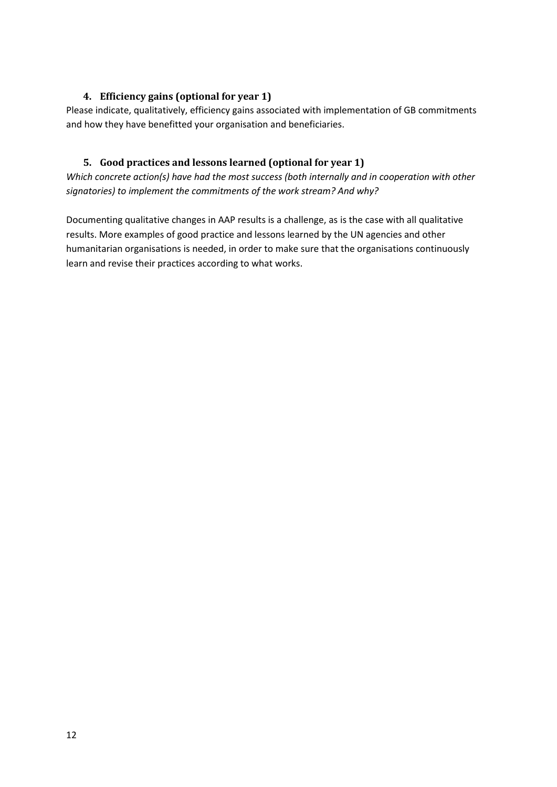#### <span id="page-11-0"></span>**4. Efficiency gains (optional for year 1)**

Please indicate, qualitatively, efficiency gains associated with implementation of GB commitments and how they have benefitted your organisation and beneficiaries.

#### <span id="page-11-1"></span>**5. Good practices and lessons learned (optional for year 1)**

*Which concrete action(s) have had the most success (both internally and in cooperation with other signatories) to implement the commitments of the work stream? And why?*

Documenting qualitative changes in AAP results is a challenge, as is the case with all qualitative results. More examples of good practice and lessons learned by the UN agencies and other humanitarian organisations is needed, in order to make sure that the organisations continuously learn and revise their practices according to what works.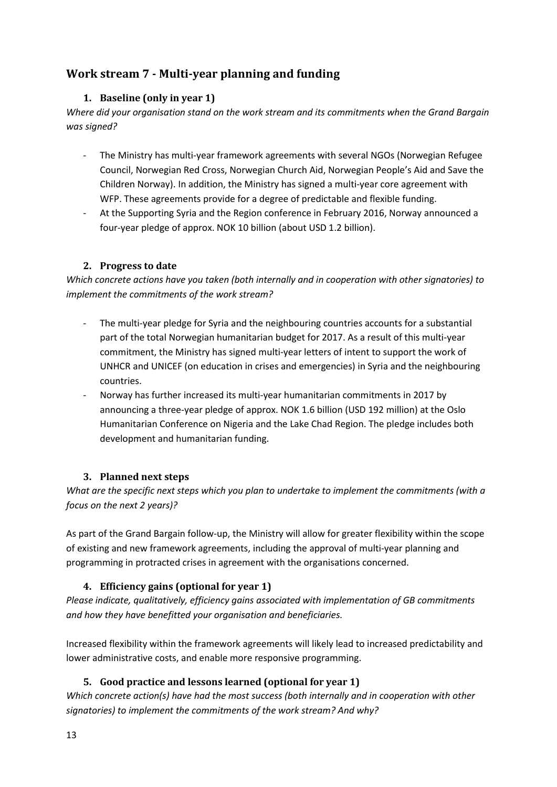## <span id="page-12-1"></span><span id="page-12-0"></span>**Work stream 7 - Multi-year planning and funding**

#### **1. Baseline (only in year 1)**

*Where did your organisation stand on the work stream and its commitments when the Grand Bargain was signed?*

- The Ministry has multi-year framework agreements with several NGOs (Norwegian Refugee Council, Norwegian Red Cross, Norwegian Church Aid, Norwegian People's Aid and Save the Children Norway). In addition, the Ministry has signed a multi-year core agreement with WFP. These agreements provide for a degree of predictable and flexible funding.
- At the Supporting Syria and the Region conference in February 2016, Norway announced a four-year pledge of approx. NOK 10 billion (about USD 1.2 billion).

#### <span id="page-12-2"></span>**2. Progress to date**

*Which concrete actions have you taken (both internally and in cooperation with other signatories) to implement the commitments of the work stream?*

- The multi-year pledge for Syria and the neighbouring countries accounts for a substantial part of the total Norwegian humanitarian budget for 2017. As a result of this multi-year commitment, the Ministry has signed multi-year letters of intent to support the work of UNHCR and UNICEF (on education in crises and emergencies) in Syria and the neighbouring countries.
- Norway has further increased its multi-year humanitarian commitments in 2017 by announcing a three-year pledge of approx. NOK 1.6 billion (USD 192 million) at the Oslo Humanitarian Conference on Nigeria and the Lake Chad Region. The pledge includes both development and humanitarian funding.

#### <span id="page-12-3"></span>**3. Planned next steps**

*What are the specific next steps which you plan to undertake to implement the commitments (with a focus on the next 2 years)?*

As part of the Grand Bargain follow-up, the Ministry will allow for greater flexibility within the scope of existing and new framework agreements, including the approval of multi-year planning and programming in protracted crises in agreement with the organisations concerned.

## <span id="page-12-4"></span>**4. Efficiency gains (optional for year 1)**

*Please indicate, qualitatively, efficiency gains associated with implementation of GB commitments and how they have benefitted your organisation and beneficiaries.*

Increased flexibility within the framework agreements will likely lead to increased predictability and lower administrative costs, and enable more responsive programming.

## <span id="page-12-5"></span>**5. Good practice and lessons learned (optional for year 1)**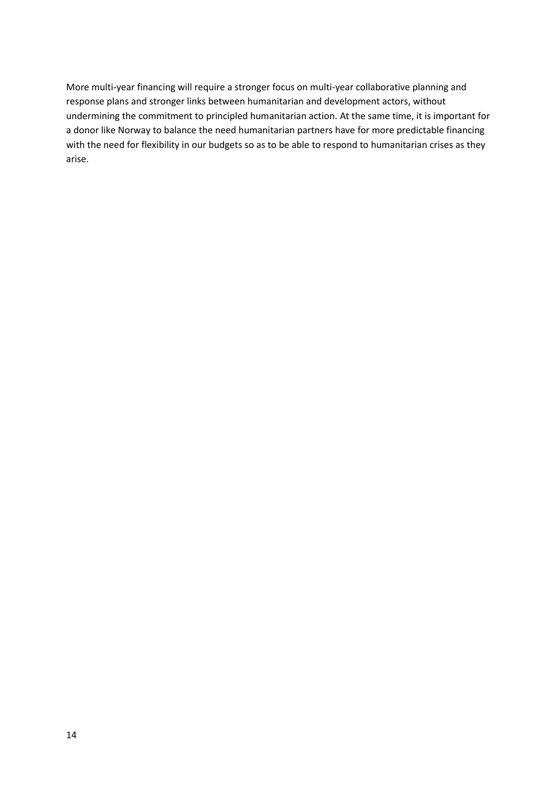More multi-year financing will require a stronger focus on multi-year collaborative planning and response plans and stronger links between humanitarian and development actors, without undermining the commitment to principled humanitarian action. At the same time, it is important for a donor like Norway to balance the need humanitarian partners have for more predictable financing with the need for flexibility in our budgets so as to be able to respond to humanitarian crises as they arise.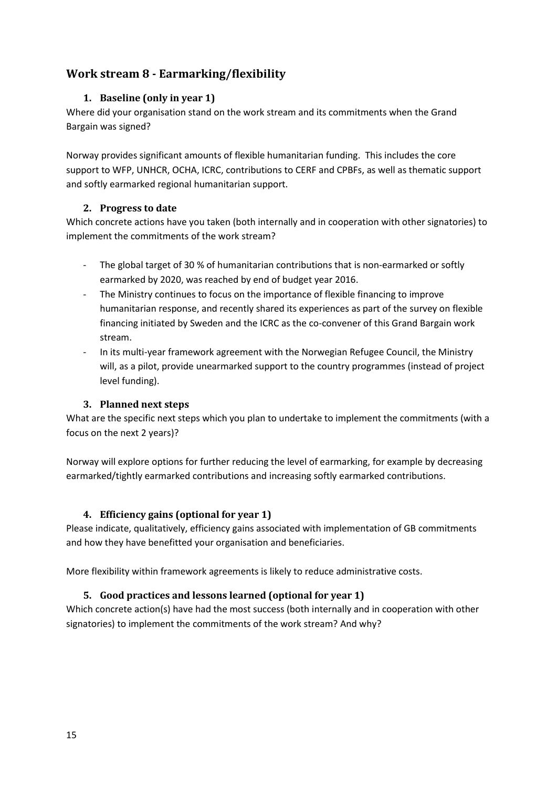## <span id="page-14-1"></span><span id="page-14-0"></span>**Work stream 8 - Earmarking/flexibility**

#### **1. Baseline (only in year 1)**

Where did your organisation stand on the work stream and its commitments when the Grand Bargain was signed?

Norway provides significant amounts of flexible humanitarian funding. This includes the core support to WFP, UNHCR, OCHA, ICRC, contributions to CERF and CPBFs, as well as thematic support and softly earmarked regional humanitarian support.

#### <span id="page-14-2"></span>**2. Progress to date**

Which concrete actions have you taken (both internally and in cooperation with other signatories) to implement the commitments of the work stream?

- The global target of 30 % of humanitarian contributions that is non-earmarked or softly earmarked by 2020, was reached by end of budget year 2016.
- The Ministry continues to focus on the importance of flexible financing to improve humanitarian response, and recently shared its experiences as part of the survey on flexible financing initiated by Sweden and the ICRC as the co-convener of this Grand Bargain work stream.
- In its multi-year framework agreement with the Norwegian Refugee Council, the Ministry will, as a pilot, provide unearmarked support to the country programmes (instead of project level funding).

#### <span id="page-14-3"></span>**3. Planned next steps**

What are the specific next steps which you plan to undertake to implement the commitments (with a focus on the next 2 years)?

Norway will explore options for further reducing the level of earmarking, for example by decreasing earmarked/tightly earmarked contributions and increasing softly earmarked contributions.

#### <span id="page-14-4"></span>**4. Efficiency gains (optional for year 1)**

Please indicate, qualitatively, efficiency gains associated with implementation of GB commitments and how they have benefitted your organisation and beneficiaries.

<span id="page-14-5"></span>More flexibility within framework agreements is likely to reduce administrative costs.

#### **5. Good practices and lessons learned (optional for year 1)**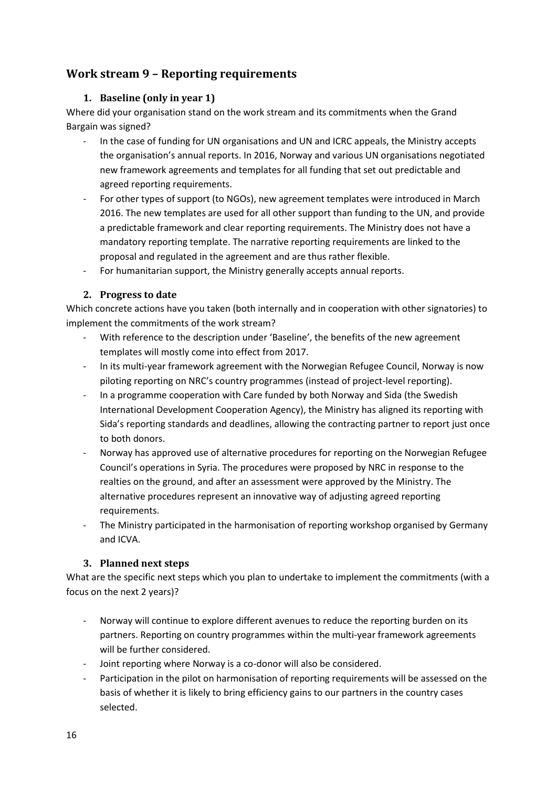## <span id="page-15-1"></span><span id="page-15-0"></span>**Work stream 9 – Reporting requirements**

#### **1. Baseline (only in year 1)**

Where did your organisation stand on the work stream and its commitments when the Grand Bargain was signed?

- In the case of funding for UN organisations and UN and ICRC appeals, the Ministry accepts the organisation's annual reports. In 2016, Norway and various UN organisations negotiated new framework agreements and templates for all funding that set out predictable and agreed reporting requirements.
- For other types of support (to NGOs), new agreement templates were introduced in March 2016. The new templates are used for all other support than funding to the UN, and provide a predictable framework and clear reporting requirements. The Ministry does not have a mandatory reporting template. The narrative reporting requirements are linked to the proposal and regulated in the agreement and are thus rather flexible.
- For humanitarian support, the Ministry generally accepts annual reports.

#### <span id="page-15-2"></span>**2. Progress to date**

Which concrete actions have you taken (both internally and in cooperation with other signatories) to implement the commitments of the work stream?

- With reference to the description under 'Baseline', the benefits of the new agreement templates will mostly come into effect from 2017.
- In its multi-year framework agreement with the Norwegian Refugee Council, Norway is now piloting reporting on NRC's country programmes (instead of project-level reporting).
- In a programme cooperation with Care funded by both Norway and Sida (the Swedish International Development Cooperation Agency), the Ministry has aligned its reporting with Sida's reporting standards and deadlines, allowing the contracting partner to report just once to both donors.
- Norway has approved use of alternative procedures for reporting on the Norwegian Refugee Council's operations in Syria. The procedures were proposed by NRC in response to the realties on the ground, and after an assessment were approved by the Ministry. The alternative procedures represent an innovative way of adjusting agreed reporting requirements.
- The Ministry participated in the harmonisation of reporting workshop organised by Germany and ICVA.

#### <span id="page-15-3"></span>**3. Planned next steps**

What are the specific next steps which you plan to undertake to implement the commitments (with a focus on the next 2 years)?

- Norway will continue to explore different avenues to reduce the reporting burden on its partners. Reporting on country programmes within the multi-year framework agreements will be further considered.
- Joint reporting where Norway is a co-donor will also be considered.
- Participation in the pilot on harmonisation of reporting requirements will be assessed on the basis of whether it is likely to bring efficiency gains to our partners in the country cases selected.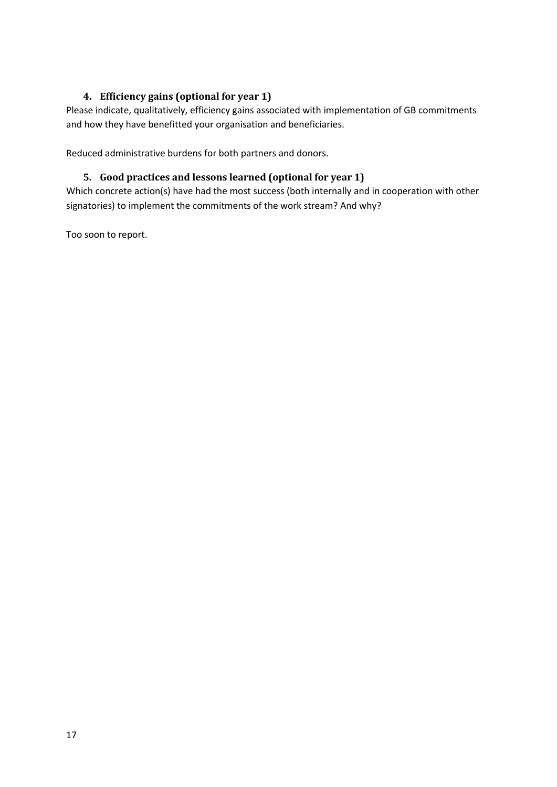#### <span id="page-16-0"></span>**4. Efficiency gains (optional for year 1)**

Please indicate, qualitatively, efficiency gains associated with implementation of GB commitments and how they have benefitted your organisation and beneficiaries.

<span id="page-16-1"></span>Reduced administrative burdens for both partners and donors.

#### **5. Good practices and lessons learned (optional for year 1)**

Which concrete action(s) have had the most success (both internally and in cooperation with other signatories) to implement the commitments of the work stream? And why?

Too soon to report.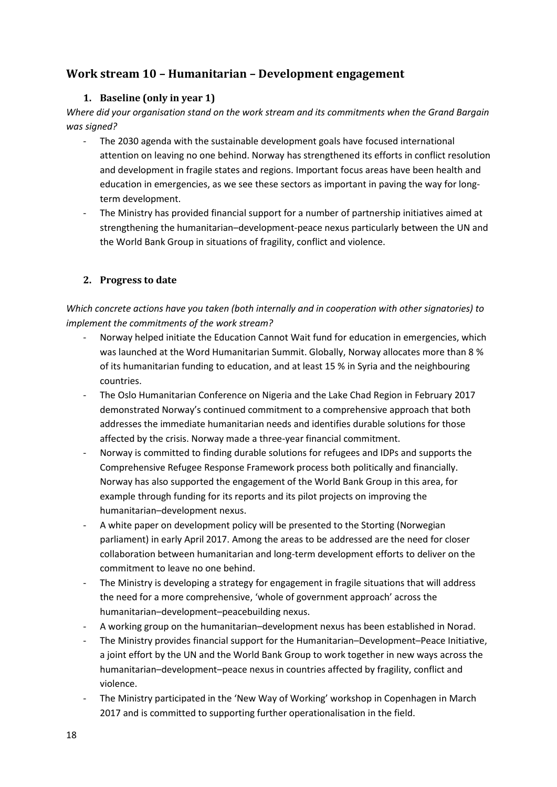## <span id="page-17-1"></span><span id="page-17-0"></span>**Work stream 10 – Humanitarian – Development engagement**

#### **1. Baseline (only in year 1)**

*Where did your organisation stand on the work stream and its commitments when the Grand Bargain was signed?*

- The 2030 agenda with the sustainable development goals have focused international attention on leaving no one behind. Norway has strengthened its efforts in conflict resolution and development in fragile states and regions. Important focus areas have been health and education in emergencies, as we see these sectors as important in paving the way for longterm development.
- The Ministry has provided financial support for a number of partnership initiatives aimed at strengthening the humanitarian–development-peace nexus particularly between the UN and the World Bank Group in situations of fragility, conflict and violence.

#### <span id="page-17-2"></span>**2. Progress to date**

*Which concrete actions have you taken (both internally and in cooperation with other signatories) to implement the commitments of the work stream?*

- Norway helped initiate the Education Cannot Wait fund for education in emergencies, which was launched at the Word Humanitarian Summit. Globally, Norway allocates more than 8 % of its humanitarian funding to education, and at least 15 % in Syria and the neighbouring countries.
- The Oslo Humanitarian Conference on Nigeria and the Lake Chad Region in February 2017 demonstrated Norway's continued commitment to a comprehensive approach that both addresses the immediate humanitarian needs and identifies durable solutions for those affected by the crisis. Norway made a three-year financial commitment.
- Norway is committed to finding durable solutions for refugees and IDPs and supports the Comprehensive Refugee Response Framework process both politically and financially. Norway has also supported the engagement of the World Bank Group in this area, for example through funding for its reports and its pilot projects on improving the humanitarian–development nexus.
- A white paper on development policy will be presented to the Storting (Norwegian parliament) in early April 2017. Among the areas to be addressed are the need for closer collaboration between humanitarian and long-term development efforts to deliver on the commitment to leave no one behind.
- The Ministry is developing a strategy for engagement in fragile situations that will address the need for a more comprehensive, 'whole of government approach' across the humanitarian–development–peacebuilding nexus.
- A working group on the humanitarian–development nexus has been established in Norad.
- The Ministry provides financial support for the Humanitarian–Development–Peace Initiative, a joint effort by the UN and the World Bank Group to work together in new ways across the humanitarian–development–peace nexus in countries affected by fragility, conflict and violence.
- The Ministry participated in the 'New Way of Working' workshop in Copenhagen in March 2017 and is committed to supporting further operationalisation in the field.